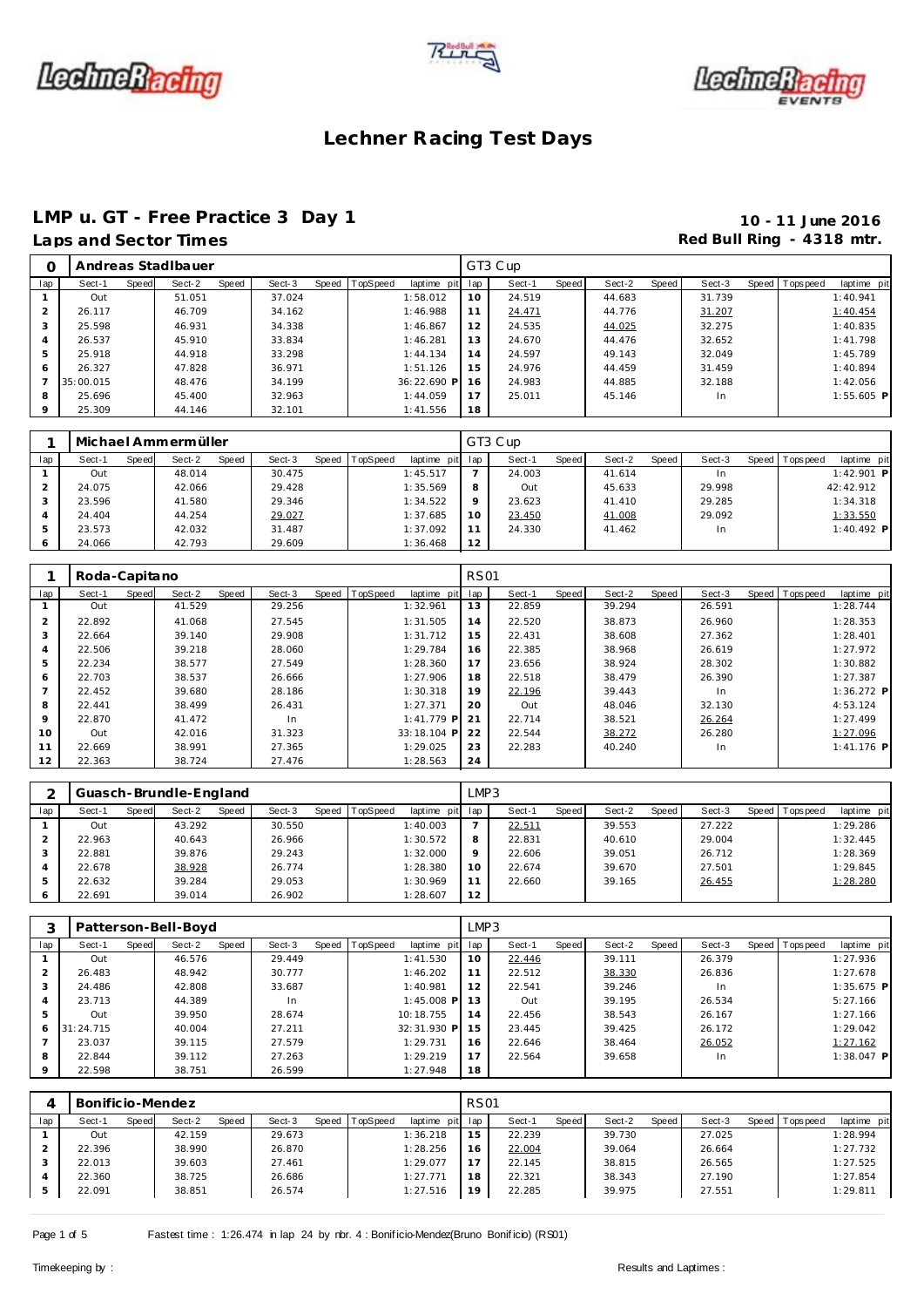





### **LMP u. GT - Free Practice 3 Day 1 10 - 11 June 2016** Laps and Sector Times **Red Bull Ring - 4318 mtr. Red Bull Ring - 4318 mtr.**

| Ο       |           |              | Andreas Stadlbauer |       |        |                |             |     | GT3 Cup |       |        |       |        |                 |              |
|---------|-----------|--------------|--------------------|-------|--------|----------------|-------------|-----|---------|-------|--------|-------|--------|-----------------|--------------|
| lap     | Sect-1    | <b>Speed</b> | Sect-2             | Speed | Sect-3 | Speed TopSpeed | laptime pit | lap | Sect-1  | Speed | Sect-2 | Speed | Sect-3 | Speed Tops peed | laptime pit  |
|         | Out       |              | 51.051             |       | 37.024 |                | 1:58.012    | 10  | 24.519  |       | 44.683 |       | 31.739 |                 | 1:40.941     |
|         | 26.117    |              | 46.709             |       | 34.162 |                | 1:46.988    |     | 24.471  |       | 44.776 |       | 31.207 |                 | 1:40.454     |
| 3       | 25.598    |              | 46.931             |       | 34.338 |                | 1:46.867    | 12  | 24.535  |       | 44.025 |       | 32.275 |                 | 1:40.835     |
| 4       | 26.537    |              | 45.910             |       | 33.834 |                | 1:46.281    | 13  | 24.670  |       | 44.476 |       | 32.652 |                 | 1:41.798     |
| 5       | 25.918    |              | 44.918             |       | 33.298 |                | 1:44.134    | 14  | 24.597  |       | 49.143 |       | 32.049 |                 | 1:45.789     |
| 6       | 26.327    |              | 47.828             |       | 36.971 |                | 1:51.126    | 15  | 24.976  |       | 44.459 |       | 31.459 |                 | 1:40.894     |
|         | 35:00.015 |              | 48.476             |       | 34.199 |                | 36:22.690 P | 16  | 24.983  |       | 44.885 |       | 32.188 |                 | 1:42.056     |
| 8       | 25.696    |              | 45.400             |       | 32.963 |                | 1:44.059    | 17  | 25.011  |       | 45.146 |       | In     |                 | $1:55.605$ P |
| $\circ$ | 25.309    |              | 44.146             |       | 32.101 |                | 1:41.556    | 18  |         |       |        |       |        |                 |              |

|     | Michael Ammermüller |       |        |       |        |                |                 |         | GT3 Cup |       |        |       |        |              |            |              |  |
|-----|---------------------|-------|--------|-------|--------|----------------|-----------------|---------|---------|-------|--------|-------|--------|--------------|------------|--------------|--|
| lap | Sect-1              | Speed | Sect-2 | Speed | Sect-3 | Speed TopSpeed | laptime pit lap |         | Sect-1  | Speed | Sect-2 | Speed | Sect-3 | <b>Speed</b> | T ops peed | laptime pit  |  |
|     | Out                 |       | 48.014 |       | 30.475 |                | 1:45.517        |         | 24.003  |       | 41.614 |       | In.    |              |            | $1:42.901$ P |  |
|     | 24.075              |       | 42.066 |       | 29.428 |                | 1:35.569        | 8       | Out     |       | 45.633 |       | 29.998 |              |            | 42:42.912    |  |
|     | 23.596              |       | 41.580 |       | 29.346 |                | 1:34.522        | $\circ$ | 23.623  |       | 41.410 |       | 29.285 |              |            | 1:34.318     |  |
|     | 24.404              |       | 44.254 |       | 29.027 |                | 1:37.685        | 10      | 23.450  |       | 41.008 |       | 29.092 |              |            | 1:33.550     |  |
|     | 23.573              |       | 42.032 |       | 31.487 |                | 1:37.092        | 11      | 24.330  |       | 41.462 |       | In.    |              |            | $1:40.492$ P |  |
| O   | 24.066              |       | 42.793 |       | 29.609 |                | 1:36.468        | 12      |         |       |        |       |        |              |            |              |  |

|     | Roda-Capitano |       |        |       |        |                |              | <b>RS01</b> |        |       |        |       |           |                |              |
|-----|---------------|-------|--------|-------|--------|----------------|--------------|-------------|--------|-------|--------|-------|-----------|----------------|--------------|
| lap | Sect-1        | Speed | Sect-2 | Speed | Sect-3 | Speed TopSpeed | laptime pit  | lap         | Sect-1 | Speed | Sect-2 | Speed | Sect-3    | Speed Topspeed | laptime pit  |
|     | Out           |       | 41.529 |       | 29.256 |                | 1:32.961     | 13          | 22.859 |       | 39.294 |       | 26.591    |                | 1:28.744     |
| 2   | 22.892        |       | 41.068 |       | 27.545 |                | 1:31.505     | 14          | 22.520 |       | 38.873 |       | 26.960    |                | 1:28.353     |
| 3   | 22.664        |       | 39.140 |       | 29.908 |                | 1:31.712     | 15          | 22.431 |       | 38.608 |       | 27.362    |                | 1:28.401     |
| 4   | 22.506        |       | 39.218 |       | 28.060 |                | 1:29.784     | 16          | 22.385 |       | 38.968 |       | 26.619    |                | 1:27.972     |
| 5   | 22.234        |       | 38.577 |       | 27.549 |                | 1:28.360     | 17          | 23.656 |       | 38.924 |       | 28.302    |                | 1:30.882     |
| 6   | 22.703        |       | 38.537 |       | 26.666 |                | 1:27.906     | 18          | 22.518 |       | 38.479 |       | 26.390    |                | 1:27.387     |
|     | 22.452        |       | 39.680 |       | 28.186 |                | 1:30.318     | 19          | 22.196 |       | 39.443 |       | In        |                | $1:36.272$ P |
| 8   | 22.441        |       | 38.499 |       | 26.431 |                | 1:27.371     | 20          | Out    |       | 48.046 |       | 32.130    |                | 4:53.124     |
| 9   | 22.870        |       | 41.472 |       | In.    |                | $1:41.779$ P | 21          | 22.714 |       | 38.521 |       | 26.264    |                | 1:27.499     |
| 10  | Out           |       | 42.016 |       | 31.323 |                | 33:18.104 P  | 22          | 22.544 |       | 38.272 |       | 26.280    |                | 1:27.096     |
| 11  | 22.669        |       | 38.991 |       | 27.365 |                | 1:29.025     | 23          | 22.283 |       | 40.240 |       | <b>In</b> |                | $1:41.176$ P |
| 12  | 22.363        |       | 38.724 |       | 27.476 |                | 1:28.563     | 24          |        |       |        |       |           |                |              |

|     |                 | Guasch-Brundle-England |        |                               | LMP3    |                        |                 |                 |                         |
|-----|-----------------|------------------------|--------|-------------------------------|---------|------------------------|-----------------|-----------------|-------------------------|
| lap | Sect-1<br>Speed | Sect-2<br>Speed        | Sect-3 | laptime pit<br>Speed TopSpeed | lap     | <b>Speed</b><br>Sect-1 | Sect-2<br>Speed | Sect-3<br>Speed | Topspeed<br>laptime pit |
|     | Out             | 43.292                 | 30.550 | 1:40.003                      |         | 22.511                 | 39.553          | 27.222          | 1:29.286                |
|     | 22.963          | 40.643                 | 26.966 | 1:30.572                      | 8       | 22.831                 | 40.610          | 29.004          | 1:32.445                |
|     | 22.881          | 39.876                 | 29.243 | 1:32.000                      | $\circ$ | 22.606                 | 39.051          | 26.712          | 1:28.369                |
|     | 22.678          | 38.928                 | 26.774 | 1:28.380                      | 10      | 22.674                 | 39.670          | 27.501          | 1:29.845                |
|     | 22.632          | 39.284                 | 29.053 | 1:30.969                      |         | 22.660                 | 39.165          | 26.455          | 1:28.280                |
|     | 22.691          | 39.014                 | 26.902 | 1:28.607                      | 12      |                        |                 |                 |                         |

|         |           |       | Patterson-Bell-Boyd |       |        |                |                 | LMP3 |        |       |        |       |        |       |            |              |
|---------|-----------|-------|---------------------|-------|--------|----------------|-----------------|------|--------|-------|--------|-------|--------|-------|------------|--------------|
| lap     | Sect-1    | Speed | Sect-2              | Speed | Sect-3 | Speed TopSpeed | laptime<br>pitl | lap  | Sect-1 | Speed | Sect-2 | Speed | Sect-3 | Speed | T ops peed | laptime pit  |
|         | Out       |       | 46.576              |       | 29.449 |                | 1:41.530        | 10   | 22.446 |       | 39.111 |       | 26.379 |       |            | 1:27.936     |
| 2       | 26.483    |       | 48.942              |       | 30.777 |                | 1:46.202        | 11   | 22.512 |       | 38.330 |       | 26.836 |       |            | 1:27.678     |
| 3       | 24.486    |       | 42.808              |       | 33.687 |                | 1:40.981        | 12   | 22.541 |       | 39.246 |       | In     |       |            | $1:35.675$ P |
| 4       | 23.713    |       | 44.389              |       | In.    |                | $1:45.008$ P    | 13   | Out    |       | 39.195 |       | 26.534 |       |            | 5:27.166     |
| 5       | Out       |       | 39.950              |       | 28.674 |                | 10:18.755       | 14   | 22.456 |       | 38.543 |       | 26.167 |       |            | 1:27.166     |
| 6       | 31:24.715 |       | 40.004              |       | 27.211 |                | 32:31.930 P     | 15   | 23.445 |       | 39.425 |       | 26.172 |       |            | 1:29.042     |
|         | 23.037    |       | 39.115              |       | 27.579 |                | 1:29.731        | 16   | 22.646 |       | 38.464 |       | 26.052 |       |            | 1:27.162     |
| 8       | 22.844    |       | 39.112              |       | 27.263 |                | 1:29.219        | 17   | 22.564 |       | 39.658 |       | In.    |       |            | $1:38.047$ P |
| $\circ$ | 22.598    |       | 38.751              |       | 26.599 |                | 1:27.948        | 18   |        |       |        |       |        |       |            |              |

|     | Bonificio-Mendez |       |        |              |        |       |          |                 | <b>RS01</b> |        |       |        |       |        |       |                   |             |
|-----|------------------|-------|--------|--------------|--------|-------|----------|-----------------|-------------|--------|-------|--------|-------|--------|-------|-------------------|-------------|
| lap | Sect-1           | Speed | Sect-2 | <b>Speed</b> | Sect-3 | Speed | TopSpeed | laptime pit lap |             | Sect-1 | Speed | Sect-2 | Speed | Sect-3 | Speed | <b>T</b> ops peed | laptime pit |
|     | Out              |       | 42.159 |              | 29.673 |       |          | 1:36.218        | 15          | 22.239 |       | 39.730 |       | 27.025 |       |                   | 1:28.994    |
|     | 22.396           |       | 38.990 |              | 26.870 |       |          | 1:28.256        | 16          | 22.004 |       | 39.064 |       | 26.664 |       |                   | 1:27.732    |
|     | 22.013           |       | 39.603 |              | 27.461 |       |          | 1:29.077        |             | 22.145 |       | 38.815 |       | 26.565 |       |                   | 1:27.525    |
|     | 22.360           |       | 38.725 |              | 26.686 |       |          | 1:27.771        | 18          | 22.321 |       | 38.343 |       | 27.190 |       |                   | 1:27.854    |
|     | 22.091           |       | 38.851 |              | 26.574 |       |          | 1:27.516        | 19          | 22.285 |       | 39.975 |       | 27.551 |       |                   | 1:29.811    |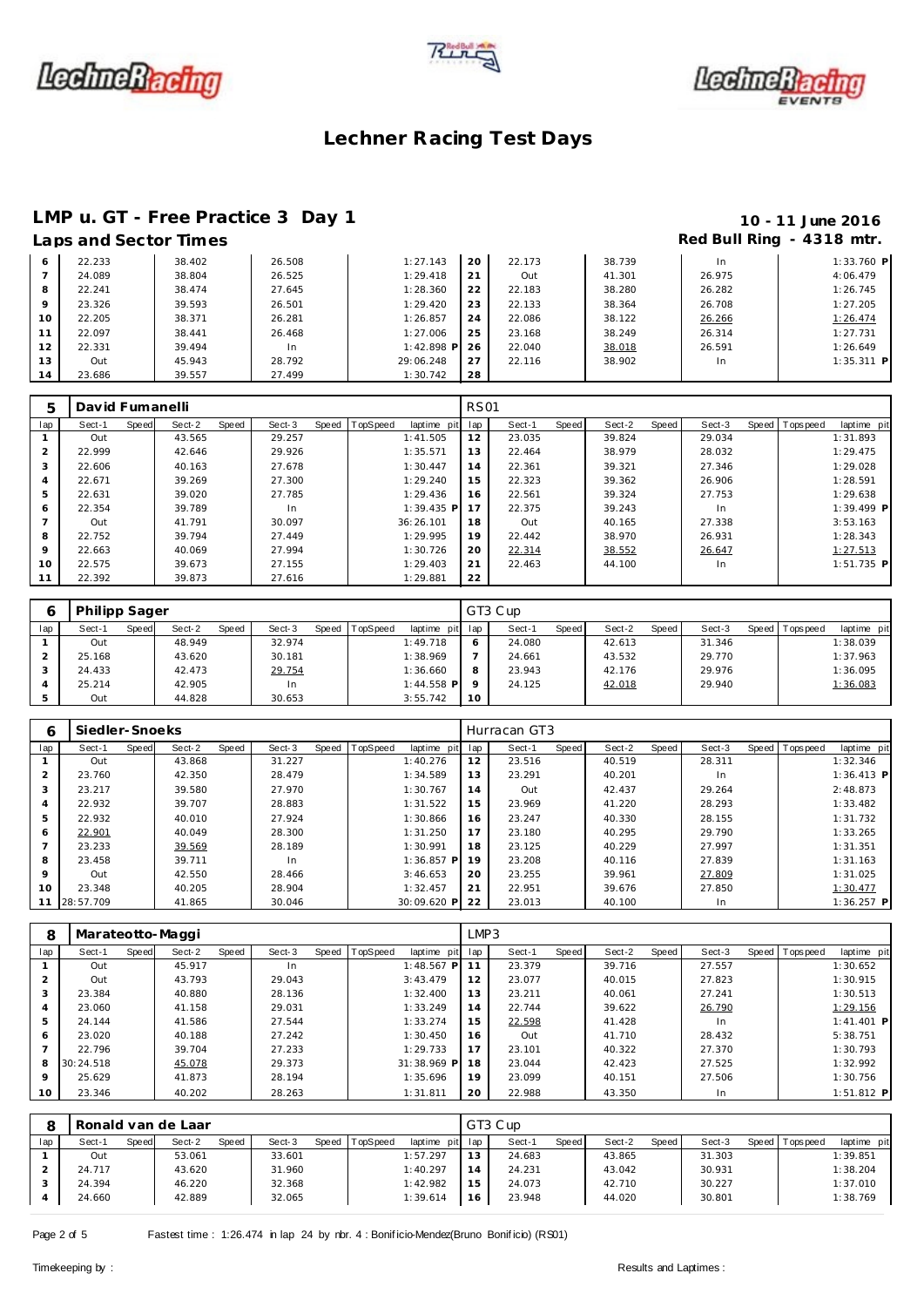





## **LMP u. GT - Free Practice 3 Day 1 10 - 11 June 2016**

## Laps and Sector Times **Red Bull Ring - 4318 mtr.**

| 6       | 22.233 | 38.402 | 26.508 | 1:27.143     | 20 | 22.173 | 38.739 | In.    | $1:33.760$ P |
|---------|--------|--------|--------|--------------|----|--------|--------|--------|--------------|
|         | 24.089 | 38.804 | 26.525 | 1:29.418     | 21 | Out    | 41.301 | 26.975 | 4:06.479     |
| 8       | 22.241 | 38.474 | 27.645 | 1:28.360     | 22 | 22.183 | 38.280 | 26.282 | 1:26.745     |
| $\circ$ | 23.326 | 39.593 | 26.501 | 1:29.420     | 23 | 22.133 | 38.364 | 26.708 | 1:27.205     |
| 10      | 22.205 | 38.371 | 26.281 | 1:26.857     | 24 | 22.086 | 38.122 | 26.266 | 1:26.474     |
| 11      | 22.097 | 38.441 | 26.468 | 1:27.006     | 25 | 23.168 | 38.249 | 26.314 | 1:27.731     |
| 12      | 22.331 | 39.494 | In     | $1:42.898$ P | 26 | 22.040 | 38.018 | 26.591 | 1:26.649     |
| 13      | Out    | 45.943 | 28.792 | 29:06.248    | 27 | 22.116 | 38.902 | In.    | $1:35.311$ P |
| 14      | 23.686 | 39.557 | 27.499 | 1:30.742     | 28 |        |        |        |              |

| 5             | David Fumanelli |       |        |       |        |       |          |              | <b>RS01</b> |        |       |        |       |        |                |              |
|---------------|-----------------|-------|--------|-------|--------|-------|----------|--------------|-------------|--------|-------|--------|-------|--------|----------------|--------------|
| lap           | Sect-1          | Speed | Sect-2 | Speed | Sect-3 | Speed | TopSpeed | laptime pit  | lap         | Sect-1 | Speed | Sect-2 | Speed | Sect-3 | Speed Topspeed | laptime pit  |
|               | Out             |       | 43.565 |       | 29.257 |       |          | 1:41.505     | 12          | 23.035 |       | 39.824 |       | 29.034 |                | 1:31.893     |
| $\mathcal{P}$ | 22.999          |       | 42.646 |       | 29.926 |       |          | 1:35.571     | 13          | 22.464 |       | 38.979 |       | 28.032 |                | 1:29.475     |
| 3             | 22.606          |       | 40.163 |       | 27.678 |       |          | 1:30.447     | 14          | 22.361 |       | 39.321 |       | 27.346 |                | 1:29.028     |
| 4             | 22.671          |       | 39.269 |       | 27.300 |       |          | 1:29.240     | 15          | 22.323 |       | 39.362 |       | 26.906 |                | 1:28.591     |
| 5             | 22.631          |       | 39.020 |       | 27.785 |       |          | 1:29.436     | 16          | 22.561 |       | 39.324 |       | 27.753 |                | 1:29.638     |
| 6             | 22.354          |       | 39.789 |       | In.    |       |          | $1:39.435$ P |             | 22.375 |       | 39.243 |       | In.    |                | $1:39.499$ P |
|               | Out             |       | 41.791 |       | 30.097 |       |          | 36:26.101    | 18          | Out    |       | 40.165 |       | 27.338 |                | 3:53.163     |
| 8             | 22.752          |       | 39.794 |       | 27.449 |       |          | 1:29.995     | 19          | 22.442 |       | 38.970 |       | 26.931 |                | 1:28.343     |
| $\circ$       | 22.663          |       | 40.069 |       | 27.994 |       |          | 1:30.726     | 20          | 22.314 |       | 38.552 |       | 26.647 |                | 1:27.513     |
| 10            | 22.575          |       | 39.673 |       | 27.155 |       |          | 1:29.403     | 21          | 22.463 |       | 44.100 |       | In.    |                | $1:51.735$ P |
| 11            | 22.392          |       | 39.873 |       | 27.616 |       |          | 1:29.881     | 22          |        |       |        |       |        |                |              |

|     | Philipp Sager |       |        |       |        |       |                 |                 |    | GT3 Cup |         |        |       |        |       |            |             |
|-----|---------------|-------|--------|-------|--------|-------|-----------------|-----------------|----|---------|---------|--------|-------|--------|-------|------------|-------------|
| lap | Sect-1        | Speed | Sect-2 | Speed | Sect-3 | Speed | <b>TopSpeed</b> | laptime pit lap |    | Sect-1  | Speed I | Sect-2 | Speed | Sect-3 | Speed | T ops peed | laptime pit |
|     | Out           |       | 48.949 |       | 32.974 |       |                 | 1:49.718        |    | 24.080  |         | 42.613 |       | 31.346 |       |            | 1:38.039    |
|     | 25.168        |       | 43.620 |       | 30.181 |       |                 | 1:38.969        |    | 24.661  |         | 43.532 |       | 29.770 |       |            | 1:37.963    |
|     | 24.433        |       | 42.473 |       | 29.754 |       |                 | 1:36.660        | 8  | 23.943  |         | 42.176 |       | 29.976 |       |            | 1:36.095    |
|     | 25.214        |       | 42.905 |       | In     |       |                 | $1:44.558$ P    |    | 24.125  |         | 42.018 |       | 29.940 |       |            | 1:36.083    |
|     | Out           |       | 44.828 |       | 30.653 |       |                 | 3:55.742        | 10 |         |         |        |       |        |       |            |             |

| 6       | Siedler-Snoeks |       |        |       |        |       |          |              |     | Hurracan GT3 |       |        |       |        |                  |              |
|---------|----------------|-------|--------|-------|--------|-------|----------|--------------|-----|--------------|-------|--------|-------|--------|------------------|--------------|
| lap     | Sect-1         | Speed | Sect-2 | Speed | Sect-3 | Speed | TopSpeed | laptime pit  | lap | Sect-1       | Speed | Sect-2 | Speed | Sect-3 | Speed   Topspeed | laptime pit  |
|         | Out            |       | 43.868 |       | 31.227 |       |          | 1:40.276     | 12  | 23.516       |       | 40.519 |       | 28.311 |                  | 1:32.346     |
| 2       | 23.760         |       | 42.350 |       | 28.479 |       |          | 1:34.589     | 13  | 23.291       |       | 40.201 |       | In     |                  | $1:36.413$ P |
| 3       | 23.217         |       | 39.580 |       | 27.970 |       |          | 1:30.767     | 14  | Out          |       | 42.437 |       | 29.264 |                  | 2:48.873     |
| 4       | 22.932         |       | 39.707 |       | 28.883 |       |          | 1:31.522     | 15  | 23.969       |       | 41.220 |       | 28.293 |                  | 1:33.482     |
| 5       | 22.932         |       | 40.010 |       | 27.924 |       |          | 1:30.866     | 16  | 23.247       |       | 40.330 |       | 28.155 |                  | 1:31.732     |
| 6       | 22.901         |       | 40.049 |       | 28.300 |       |          | 1:31.250     | 17  | 23.180       |       | 40.295 |       | 29.790 |                  | 1:33.265     |
|         | 23.233         |       | 39.569 |       | 28.189 |       |          | 1:30.991     | 18  | 23.125       |       | 40.229 |       | 27.997 |                  | 1:31.351     |
| 8       | 23.458         |       | 39.711 |       | In     |       |          | $1:36.857$ P | 19  | 23.208       |       | 40.116 |       | 27.839 |                  | 1:31.163     |
| $\circ$ | Out            |       | 42.550 |       | 28.466 |       |          | 3:46.653     | 20  | 23.255       |       | 39.961 |       | 27.809 |                  | 1:31.025     |
| 10      | 23.348         |       | 40.205 |       | 28.904 |       |          | 1:32.457     | 21  | 22.951       |       | 39.676 |       | 27.850 |                  | 1:30.477     |
| 11      | 28:57.709      |       | 41.865 |       | 30.046 |       |          | 30:09.620 P  | 22  | 23.013       |       | 40.100 |       | In.    |                  | $1:36.257$ P |

| 8               |           |       | Marateotto-Maggi |       |        |       |          |              | LMP3 |        |       |        |       |        |                 |              |
|-----------------|-----------|-------|------------------|-------|--------|-------|----------|--------------|------|--------|-------|--------|-------|--------|-----------------|--------------|
| lap             | Sect-1    | Speed | Sect-2           | Speed | Sect-3 | Speed | TopSpeed | laptime pit  | lap  | Sect-1 | Speed | Sect-2 | Speed | Sect-3 | Speed Tops peed | laptime pit  |
|                 | Out       |       | 45.917           |       | In     |       |          | $1:48.567$ P | 11   | 23.379 |       | 39.716 |       | 27.557 |                 | 1:30.652     |
|                 | Out       |       | 43.793           |       | 29.043 |       |          | 3:43.479     | 12   | 23.077 |       | 40.015 |       | 27.823 |                 | 1:30.915     |
|                 | 23.384    |       | 40.880           |       | 28.136 |       |          | 1:32.400     | 13   | 23.211 |       | 40.061 |       | 27.241 |                 | 1:30.513     |
| 4               | 23.060    |       | 41.158           |       | 29.031 |       |          | 1:33.249     | 14   | 22.744 |       | 39.622 |       | 26.790 |                 | 1:29.156     |
|                 | 24.144    |       | 41.586           |       | 27.544 |       |          | 1:33.274     | 15   | 22.598 |       | 41.428 |       | In.    |                 | $1:41.401$ P |
| 6               | 23.020    |       | 40.188           |       | 27.242 |       |          | 1:30.450     | 16   | Out    |       | 41.710 |       | 28.432 |                 | 5:38.751     |
|                 | 22.796    |       | 39.704           |       | 27.233 |       |          | 1:29.733     | 17   | 23.101 |       | 40.322 |       | 27.370 |                 | 1:30.793     |
| 8               | 30:24.518 |       | 45.078           |       | 29.373 |       |          | 31:38.969 P  | 18   | 23.044 |       | 42.423 |       | 27.525 |                 | 1:32.992     |
| $\circ$         | 25.629    |       | 41.873           |       | 28.194 |       |          | 1:35.696     | 19   | 23.099 |       | 40.151 |       | 27.506 |                 | 1:30.756     |
| 10 <sup>°</sup> | 23.346    |       | 40.202           |       | 28.263 |       |          | 1:31.811     | 20   | 22.988 |       | 43.350 |       | In     |                 | $1:51.812$ P |

|     |        |       | Ronald van de Laar |              |        |       |          |             |                | GT3 Cup |       |        |       |        |       |           |             |
|-----|--------|-------|--------------------|--------------|--------|-------|----------|-------------|----------------|---------|-------|--------|-------|--------|-------|-----------|-------------|
| lap | Sect-1 | Speed | Sect-2             | <b>Speed</b> | Sect-3 | Speed | TopSpeed | laptime pit | lap            | Sect-1  | Speed | Sect-2 | Speed | Sect-3 | Speed | Tops peed | laptime pit |
|     | Out    |       | 53.061             |              | 33.601 |       |          | 1:57.297    | 13             | 24.683  |       | 43.865 |       | 31.303 |       |           | 1:39.851    |
|     | 24.717 |       | 43.620             |              | 31.960 |       |          | 1:40.297    | $\overline{4}$ | 24.231  |       | 43.042 |       | 30.931 |       |           | 1:38.204    |
|     | 24.394 |       | 46.220             |              | 32.368 |       |          | 1:42.982    | 15             | 24.073  |       | 42.710 |       | 30.227 |       |           | 1:37.010    |
|     | 24.660 |       | 42.889             |              | 32.065 |       |          | 1:39.614    | 16             | 23.948  |       | 44.020 |       | 30.801 |       |           | 1:38.769    |

Page 2 of 5 Fastest time : 1:26.474 in lap 24 by rbr. 4 : Bonificio-Mendez(Bruno Bonificio) (RS01)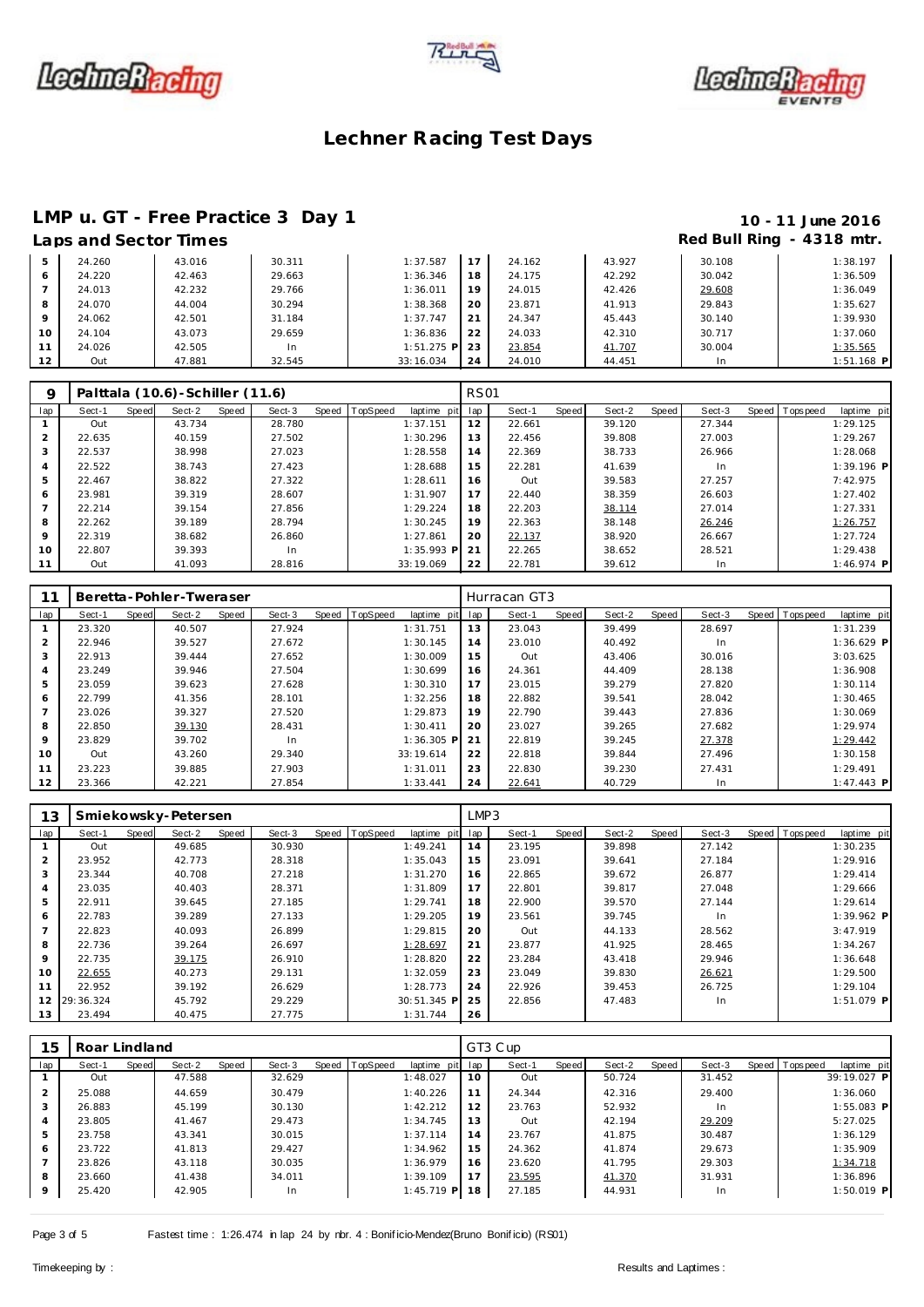





# **LMP u. GT - Free Practice 3 Day 1 10 - 11 June 2016**<br>Laps and Sector Times **10 - 11 June 2016**

## Red Bull Ring - 4318 mtr.

|    | LUDJUNU JUULUI IIIIIUJ |        |        |              |     |        |        |        | .            |
|----|------------------------|--------|--------|--------------|-----|--------|--------|--------|--------------|
|    | 24.260                 | 43.016 | 30.311 | 1:37.587     |     | 24.162 | 43.927 | 30.108 | 1:38.197     |
|    | 24.220                 | 42.463 | 29.663 | 1:36.346     | 18  | 24.175 | 42.292 | 30.042 | 1:36.509     |
|    | 24.013                 | 42.232 | 29.766 | 1:36.011     | 19  | 24.015 | 42.426 | 29.608 | 1:36.049     |
|    | 24.070                 | 44.004 | 30.294 | 1:38.368     | 20  | 23.871 | 41.913 | 29.843 | 1:35.627     |
|    | 24.062                 | 42.501 | 31.184 | 1:37.747     | 21  | 24.347 | 45.443 | 30.140 | 1:39.930     |
| 10 | 24.104                 | 43.073 | 29.659 | 1:36.836     | 22  | 24.033 | 42.310 | 30.717 | 1:37.060     |
|    | 24.026                 | 42.505 | In     | $1:51.275$ P | -23 | 23.854 | 41.707 | 30.004 | 1:35.565     |
| 12 | Out                    | 47.881 | 32.545 | 33:16.034    | 24  | 24.010 | 44.451 | In.    | $1:51.168$ P |

| Q              |        |       | Palttala (10.6) - Schiller (11.6) |       |        |                |              | <b>RS01</b> |        |         |        |       |        |                |              |
|----------------|--------|-------|-----------------------------------|-------|--------|----------------|--------------|-------------|--------|---------|--------|-------|--------|----------------|--------------|
| lap            | Sect-1 | Speed | Sect-2                            | Speed | Sect-3 | Speed TopSpeed | laptime pit  | lap         | Sect-1 | Speed I | Sect-2 | Speed | Sect-3 | Speed Topspeed | laptime pit  |
|                | Out    |       | 43.734                            |       | 28.780 |                | 1:37.151     | 12          | 22.661 |         | 39.120 |       | 27.344 |                | 1:29.125     |
| $\overline{2}$ | 22.635 |       | 40.159                            |       | 27.502 |                | 1:30.296     | 13          | 22.456 |         | 39.808 |       | 27.003 |                | 1:29.267     |
| 3              | 22.537 |       | 38.998                            |       | 27.023 |                | 1:28.558     | 14          | 22.369 |         | 38.733 |       | 26.966 |                | 1:28.068     |
| 4              | 22.522 |       | 38.743                            |       | 27.423 |                | 1:28.688     | 15          | 22.281 |         | 41.639 |       | In.    |                | $1:39.196$ P |
| 5              | 22.467 |       | 38.822                            |       | 27.322 |                | 1:28.611     | 16          | Out    |         | 39.583 |       | 27.257 |                | 7:42.975     |
| 6              | 23.981 |       | 39.319                            |       | 28.607 |                | 1:31.907     | 17          | 22.440 |         | 38.359 |       | 26.603 |                | 1:27.402     |
|                | 22.214 |       | 39.154                            |       | 27.856 |                | 1:29.224     | 18          | 22.203 |         | 38.114 |       | 27.014 |                | 1:27.331     |
| 8              | 22.262 |       | 39.189                            |       | 28.794 |                | 1:30.245     | 19          | 22.363 |         | 38.148 |       | 26.246 |                | 1:26.757     |
| 9              | 22.319 |       | 38.682                            |       | 26.860 |                | 1:27.861     | 20          | 22.137 |         | 38.920 |       | 26.667 |                | 1:27.724     |
| 10             | 22.807 |       | 39.393                            |       | In     |                | $1:35.993$ P | 21          | 22.265 |         | 38.652 |       | 28.521 |                | 1:29.438     |
| 11             | Out    |       | 41.093                            |       | 28.816 |                | 33:19.069    | 22          | 22.781 |         | 39.612 |       | In     |                | $1:46.974$ P |

|                |        |       | Beretta-Pohler-Tweraser |       |        |                |              |     | Hurracan GT3 |       |        |       |        |                 |              |
|----------------|--------|-------|-------------------------|-------|--------|----------------|--------------|-----|--------------|-------|--------|-------|--------|-----------------|--------------|
| lap            | Sect-1 | Speed | Sect-2                  | Speed | Sect-3 | Speed TopSpeed | laptime pit  | lap | Sect-1       | Speed | Sect-2 | Speed | Sect-3 | Speed Tops peed | laptime pit  |
|                | 23.320 |       | 40.507                  |       | 27.924 |                | 1:31.751     | 13  | 23.043       |       | 39.499 |       | 28.697 |                 | 1:31.239     |
| $\overline{2}$ | 22.946 |       | 39.527                  |       | 27.672 |                | 1:30.145     | 14  | 23.010       |       | 40.492 |       | In.    |                 | $1:36.629$ P |
| 3              | 22.913 |       | 39.444                  |       | 27.652 |                | 1:30.009     | 15  | Out          |       | 43.406 |       | 30.016 |                 | 3:03.625     |
| 4              | 23.249 |       | 39.946                  |       | 27.504 |                | 1:30.699     | 16  | 24.361       |       | 44.409 |       | 28.138 |                 | 1:36.908     |
| 5              | 23.059 |       | 39.623                  |       | 27.628 |                | 1:30.310     | 17  | 23.015       |       | 39.279 |       | 27.820 |                 | 1:30.114     |
| 6              | 22.799 |       | 41.356                  |       | 28.101 |                | 1:32.256     | 18  | 22.882       |       | 39.541 |       | 28.042 |                 | 1:30.465     |
|                | 23.026 |       | 39.327                  |       | 27.520 |                | 1:29.873     | 19  | 22.790       |       | 39.443 |       | 27.836 |                 | 1:30.069     |
| 8              | 22.850 |       | 39.130                  |       | 28.431 |                | 1:30.411     | 20  | 23.027       |       | 39.265 |       | 27.682 |                 | 1:29.974     |
| 9              | 23.829 |       | 39.702                  |       | In.    |                | $1:36.305$ P | 21  | 22.819       |       | 39.245 |       | 27.378 |                 | 1:29.442     |
| 10             | Out    |       | 43.260                  |       | 29.340 |                | 33:19.614    | 22  | 22.818       |       | 39.844 |       | 27.496 |                 | 1:30.158     |
| 11             | 23.223 |       | 39.885                  |       | 27.903 |                | 1:31.011     | 23  | 22.830       |       | 39.230 |       | 27.431 |                 | 1:29.491     |
| 12             | 23.366 |       | 42.221                  |       | 27.854 |                | 1:33.441     | 24  | 22.641       |       | 40.729 |       | In.    |                 | $1:47.443$ P |

| 13             |           |       | Smiekowsky-Petersen |       |        |                  |             | LMP3 |        |       |        |       |        |                   |              |
|----------------|-----------|-------|---------------------|-------|--------|------------------|-------------|------|--------|-------|--------|-------|--------|-------------------|--------------|
| lap            | Sect-1    | Speed | Sect-2              | Speed | Sect-3 | Speed   TopSpeed | laptime pit | lap  | Sect-1 | Speed | Sect-2 | Speed | Sect-3 | Speed   Tops peed | laptime pit  |
|                | Out       |       | 49.685              |       | 30.930 |                  | 1:49.241    | 14   | 23.195 |       | 39.898 |       | 27.142 |                   | 1:30.235     |
| $\overline{2}$ | 23.952    |       | 42.773              |       | 28.318 |                  | 1:35.043    | 15   | 23.091 |       | 39.641 |       | 27.184 |                   | 1:29.916     |
| 3              | 23.344    |       | 40.708              |       | 27.218 |                  | 1:31.270    | 16   | 22.865 |       | 39.672 |       | 26.877 |                   | 1:29.414     |
| 4              | 23.035    |       | 40.403              |       | 28.371 |                  | 1:31.809    | 17   | 22.801 |       | 39.817 |       | 27.048 |                   | 1:29.666     |
| 5              | 22.911    |       | 39.645              |       | 27.185 |                  | 1:29.741    | 18   | 22.900 |       | 39.570 |       | 27.144 |                   | 1:29.614     |
| 6              | 22.783    |       | 39.289              |       | 27.133 |                  | 1:29.205    | 19   | 23.561 |       | 39.745 |       | In.    |                   | 1:39.962 P   |
| 7              | 22.823    |       | 40.093              |       | 26.899 |                  | 1:29.815    | 20   | Out    |       | 44.133 |       | 28.562 |                   | 3:47.919     |
| 8              | 22.736    |       | 39.264              |       | 26.697 |                  | 1:28.697    | 21   | 23.877 |       | 41.925 |       | 28.465 |                   | 1:34.267     |
| 9              | 22.735    |       | 39.175              |       | 26.910 |                  | 1:28.820    | 22   | 23.284 |       | 43.418 |       | 29.946 |                   | 1:36.648     |
| 10             | 22.655    |       | 40.273              |       | 29.131 |                  | 1:32.059    | 23   | 23.049 |       | 39.830 |       | 26.621 |                   | 1:29.500     |
| 11             | 22.952    |       | 39.192              |       | 26.629 |                  | 1:28.773    | 24   | 22.926 |       | 39.453 |       | 26.725 |                   | 1:29.104     |
| 12             | 29:36.324 |       | 45.792              |       | 29.229 |                  | 30:51.345 P | 25   | 22.856 |       | 47.483 |       | In.    |                   | $1:51.079$ P |
| 13             | 23.494    |       | 40.475              |       | 27.775 |                  | 1:31.744    | 26   |        |       |        |       |        |                   |              |

| 15      | Roar Lindland |       |        |       |        |                  |              |     | GT3 Cup |       |        |       |        |                               |  |
|---------|---------------|-------|--------|-------|--------|------------------|--------------|-----|---------|-------|--------|-------|--------|-------------------------------|--|
| lap     | Sect-1        | Speed | Sect-2 | Speed | Sect-3 | Speed   TopSpeed | laptime pit  | lap | Sect-1  | Speed | Sect-2 | Speed | Sect-3 | Speed Topspeed<br>laptime pit |  |
|         | Out           |       | 47.588 |       | 32.629 |                  | 1:48.027     | 10  | Out     |       | 50.724 |       | 31.452 | 39:19.027 P                   |  |
|         | 25.088        |       | 44.659 |       | 30.479 |                  | 1:40.226     | 11  | 24.344  |       | 42.316 |       | 29.400 | 1:36.060                      |  |
| 3       | 26.883        |       | 45.199 |       | 30.130 |                  | 1:42.212     | 12  | 23.763  |       | 52.932 |       | In.    | 1:55.083 P                    |  |
| 4       | 23.805        |       | 41.467 |       | 29.473 |                  | 1:34.745     | 13  | Out     |       | 42.194 |       | 29.209 | 5:27.025                      |  |
| 5       | 23.758        |       | 43.341 |       | 30.015 |                  | 1:37.114     | 14  | 23.767  |       | 41.875 |       | 30.487 | 1:36.129                      |  |
| 6       | 23.722        |       | 41.813 |       | 29.427 |                  | 1:34.962     | 15  | 24.362  |       | 41.874 |       | 29.673 | 1:35.909                      |  |
|         | 23.826        |       | 43.118 |       | 30.035 |                  | 1:36.979     | 16  | 23.620  |       | 41.795 |       | 29.303 | 1:34.718                      |  |
| 8       | 23.660        |       | 41.438 |       | 34.011 |                  | 1:39.109     | 17  | 23.595  |       | 41.370 |       | 31.931 | 1:36.896                      |  |
| $\circ$ | 25.420        |       | 42.905 |       | In     |                  | $1:45.719$ P | 18  | 27.185  |       | 44.931 |       | In.    | 1:50.019 P                    |  |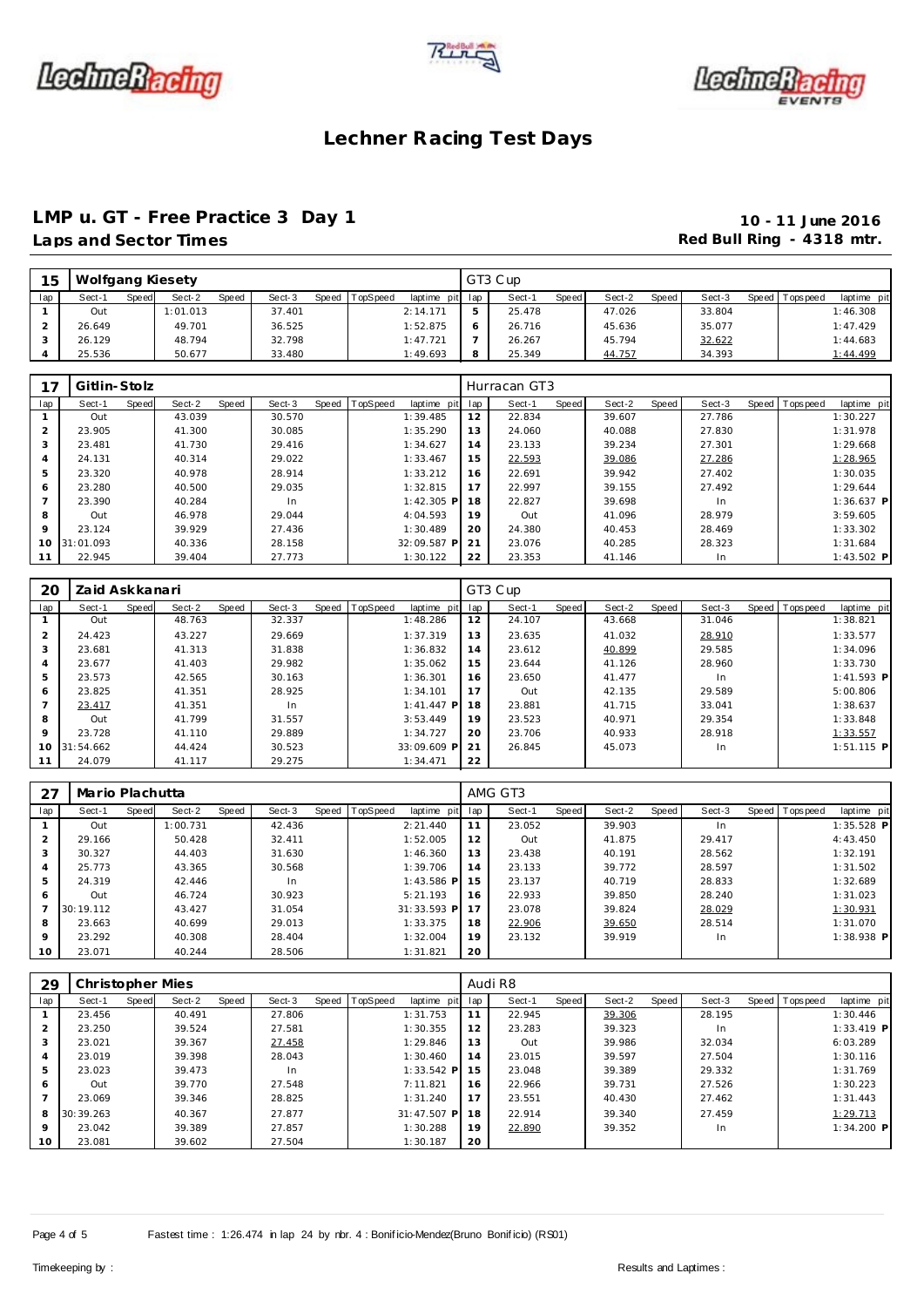





### **LMP u. GT - Free Practice 3 Day 1 10 - 11 June 2016** Laps and Sector Times **Red Bull Ring - 4318 mtr.**

| 15  | Wolfgang Kiesety |       |          |       |        |       |          |             |     | GT3 Cup |       |        |       |        |                 |             |
|-----|------------------|-------|----------|-------|--------|-------|----------|-------------|-----|---------|-------|--------|-------|--------|-----------------|-------------|
| lap | Sect-1           | Speed | Sect-2   | Speed | Sect-3 | Speed | TopSpeed | laptime pit | lap | Sect-1  | Speed | Sect-2 | Speed | Sect-3 | Speed Tops peed | laptime pit |
|     | Out              |       | 1:01.013 |       | 37.401 |       |          | 2:14.171    | 5   | 25.478  |       | 47.026 |       | 33.804 |                 | 1:46.308    |
|     | 26.649           |       | 49.701   |       | 36.525 |       |          | 1:52.875    |     | 26.716  |       | 45.636 |       | 35.077 |                 | 1:47.429    |
|     | 26.129           |       | 48.794   |       | 32.798 |       |          | 1:47.721    | -   | 26.267  |       | 45.794 |       | 32.622 |                 | 1:44.683    |
|     | 25.536           |       | 50.677   |       | 33.480 |       |          | 1:49.693    | 8   | 25.349  |       | 44.757 |       | 34.393 |                 | 1:44.499    |

|             | Gitlin-Stolz |       |        |       |        |       |          |              |     | Hurracan GT3 |       |        |       |        |                |              |
|-------------|--------------|-------|--------|-------|--------|-------|----------|--------------|-----|--------------|-------|--------|-------|--------|----------------|--------------|
| lap         | Sect-1       | Speed | Sect-2 | Speed | Sect-3 | Speed | TopSpeed | laptime pit  | lap | Sect-1       | Speed | Sect-2 | Speed | Sect-3 | Speed Topspeed | laptime pit  |
|             | Out          |       | 43.039 |       | 30.570 |       |          | 1:39.485     | 12  | 22.834       |       | 39.607 |       | 27.786 |                | 1:30.227     |
| 2           | 23.905       |       | 41.300 |       | 30.085 |       |          | 1:35.290     | 13  | 24.060       |       | 40.088 |       | 27.830 |                | 1:31.978     |
| 3           | 23.481       |       | 41.730 |       | 29.416 |       |          | 1:34.627     | 14  | 23.133       |       | 39.234 |       | 27.301 |                | 1:29.668     |
| 4           | 24.131       |       | 40.314 |       | 29.022 |       |          | 1:33.467     | 15  | 22.593       |       | 39.086 |       | 27.286 |                | 1:28.965     |
| 5           | 23.320       |       | 40.978 |       | 28.914 |       |          | 1:33.212     | 16  | 22.691       |       | 39.942 |       | 27.402 |                | 1:30.035     |
| 6           | 23.280       |       | 40.500 |       | 29.035 |       |          | 1:32.815     | 17  | 22.997       |       | 39.155 |       | 27.492 |                | 1:29.644     |
|             | 23.390       |       | 40.284 |       | In.    |       |          | $1:42.305$ P | 18  | 22.827       |       | 39.698 |       | In.    |                | $1:36.637$ P |
| 8           | Out          |       | 46.978 |       | 29.044 |       |          | 4:04.593     | 19  | Out          |       | 41.096 |       | 28.979 |                | 3:59.605     |
| $\mathsf Q$ | 23.124       |       | 39.929 |       | 27.436 |       |          | 1:30.489     | 20  | 24.380       |       | 40.453 |       | 28.469 |                | 1:33.302     |
| 10          | 31:01.093    |       | 40.336 |       | 28.158 |       |          | 32:09.587 P  | 21  | 23.076       |       | 40.285 |       | 28.323 |                | 1:31.684     |
| 11          | 22.945       |       | 39.404 |       | 27.773 |       |          | 1:30.122     | 22  | 23.353       |       | 41.146 |       | In     |                | $1:43.502$ P |

| 20             | Zaid Askkanari |       |        |       |        |                |              |     | GT3 Cup |       |        |       |        |                  |              |
|----------------|----------------|-------|--------|-------|--------|----------------|--------------|-----|---------|-------|--------|-------|--------|------------------|--------------|
| lap            | Sect-1         | Speed | Sect-2 | Speed | Sect-3 | Speed TopSpeed | laptime pit  | lap | Sect-1  | Speed | Sect-2 | Speed | Sect-3 | Speed   Topspeed | laptime pit  |
|                | Out            |       | 48.763 |       | 32.337 |                | 1:48.286     | 12  | 24.107  |       | 43.668 |       | 31.046 |                  | 1:38.821     |
| $\overline{2}$ | 24.423         |       | 43.227 |       | 29.669 |                | 1:37.319     | 13  | 23.635  |       | 41.032 |       | 28.910 |                  | 1:33.577     |
| 3              | 23.681         |       | 41.313 |       | 31.838 |                | 1:36.832     | 14  | 23.612  |       | 40.899 |       | 29.585 |                  | 1:34.096     |
| $\overline{4}$ | 23.677         |       | 41.403 |       | 29.982 |                | 1:35.062     | 15  | 23.644  |       | 41.126 |       | 28.960 |                  | 1:33.730     |
| 5              | 23.573         |       | 42.565 |       | 30.163 |                | 1:36.301     | 16  | 23.650  |       | 41.477 |       | In.    |                  | $1:41.593$ P |
| 6              | 23.825         |       | 41.351 |       | 28.925 |                | 1:34.101     | 17  | Out     |       | 42.135 |       | 29.589 |                  | 5:00.806     |
|                | 23.417         |       | 41.351 |       | In     |                | $1:41.447$ P | 18  | 23.881  |       | 41.715 |       | 33.041 |                  | 1:38.637     |
| 8              | Out            |       | 41.799 |       | 31.557 |                | 3:53.449     | 19  | 23.523  |       | 40.971 |       | 29.354 |                  | 1:33.848     |
| 9              | 23.728         |       | 41.110 |       | 29.889 |                | 1:34.727     | 20  | 23.706  |       | 40.933 |       | 28.918 |                  | 1:33.557     |
|                | 10 31:54.662   |       | 44.424 |       | 30.523 |                | 33:09.609 P  | 21  | 26.845  |       | 45.073 |       | In.    |                  | $1:51.115$ P |
| 11             | 24.079         |       | 41.117 |       | 29.275 |                | 1:34.471     | 22  |         |       |        |       |        |                  |              |

| 27  | Mario Plachutta |       |          |       |        |       |          |              |     | AMG GT3 |       |        |       |        |       |             |              |
|-----|-----------------|-------|----------|-------|--------|-------|----------|--------------|-----|---------|-------|--------|-------|--------|-------|-------------|--------------|
| lap | Sect-1          | Speed | Sect-2   | Speed | Sect-3 | Speed | TopSpeed | laptime pit  | lap | Sect-1  | Speed | Sect-2 | Speed | Sect-3 | Speed | T ops pee d | laptime pit  |
|     | Out             |       | 1:00.731 |       | 42.436 |       |          | 2:21.440     | 11  | 23.052  |       | 39.903 |       | In.    |       |             | $1:35.528$ P |
| 2   | 29.166          |       | 50.428   |       | 32.411 |       |          | 1:52.005     | 12  | Out     |       | 41.875 |       | 29.417 |       |             | 4:43.450     |
| 3   | 30.327          |       | 44.403   |       | 31.630 |       |          | 1:46.360     | 13  | 23.438  |       | 40.191 |       | 28.562 |       |             | 1:32.191     |
| 4   | 25.773          |       | 43.365   |       | 30.568 |       |          | 1:39.706     | 14  | 23.133  |       | 39.772 |       | 28.597 |       |             | 1:31.502     |
| 5   | 24.319          |       | 42.446   |       | In     |       |          | $1:43.586$ P | 15  | 23.137  |       | 40.719 |       | 28.833 |       |             | 1:32.689     |
| 6   | Out             |       | 46.724   |       | 30.923 |       |          | 5:21.193     | 16  | 22.933  |       | 39.850 |       | 28.240 |       |             | 1:31.023     |
|     | 30:19.112       |       | 43.427   |       | 31.054 |       |          | 31:33.593 P  | 17  | 23.078  |       | 39.824 |       | 28.029 |       |             | 1:30.931     |
| 8   | 23.663          |       | 40.699   |       | 29.013 |       |          | 1:33.375     | 18  | 22.906  |       | 39.650 |       | 28.514 |       |             | 1:31.070     |
| 9   | 23.292          |       | 40.308   |       | 28.404 |       |          | 1:32.004     | 19  | 23.132  |       | 39.919 |       | In.    |       |             | $1:38.938$ P |
| 10  | 23.071          |       | 40.244   |       | 28.506 |       |          | 1:31.821     | 20  |         |       |        |       |        |       |             |              |

| 29      | Christopher Mies |       |        |       |        |                |              |     | Audi R8 |       |        |       |        |                |              |
|---------|------------------|-------|--------|-------|--------|----------------|--------------|-----|---------|-------|--------|-------|--------|----------------|--------------|
| lap     | Sect-1           | Speed | Sect-2 | Speed | Sect-3 | Speed TopSpeed | laptime pit  | lap | Sect-1  | Speed | Sect-2 | Speed | Sect-3 | Speed Topspeed | laptime pit  |
|         | 23.456           |       | 40.491 |       | 27.806 |                | 1:31.753     |     | 22.945  |       | 39.306 |       | 28.195 |                | 1:30.446     |
|         | 23.250           |       | 39.524 |       | 27.581 |                | 1:30.355     | 12  | 23.283  |       | 39.323 |       | In     |                | $1:33.419$ P |
|         | 23.021           |       | 39.367 |       | 27.458 |                | 1:29.846     | 13  | Out     |       | 39.986 |       | 32.034 |                | 6:03.289     |
|         | 23.019           |       | 39.398 |       | 28.043 |                | 1:30.460     | 14  | 23.015  |       | 39.597 |       | 27.504 |                | 1:30.116     |
| 5       | 23.023           |       | 39.473 |       | In     |                | $1:33.542$ P | 15  | 23.048  |       | 39.389 |       | 29.332 |                | 1:31.769     |
| 6       | Out              |       | 39.770 |       | 27.548 |                | 7:11.821     | 16  | 22.966  |       | 39.731 |       | 27.526 |                | 1:30.223     |
|         | 23.069           |       | 39.346 |       | 28.825 |                | 1:31.240     | 17  | 23.551  |       | 40.430 |       | 27.462 |                | 1:31.443     |
| 8       | 30:39.263        |       | 40.367 |       | 27.877 |                | 31:47.507 P  | 18  | 22.914  |       | 39.340 |       | 27.459 |                | 1:29.713     |
| $\circ$ | 23.042           |       | 39.389 |       | 27.857 |                | 1:30.288     | 19  | 22.890  |       | 39.352 |       | In     |                | $1:34.200$ P |
| 10      | 23.081           |       | 39.602 |       | 27.504 |                | 1:30.187     | 20  |         |       |        |       |        |                |              |